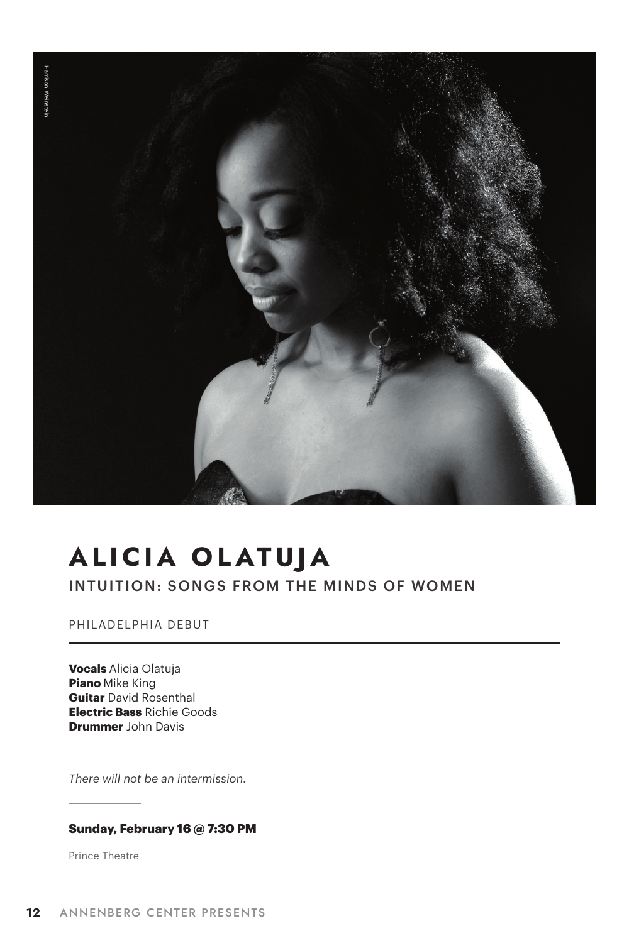

# **ALICIA OLATUJA**

INTUITION: SONGS FROM THE MINDS OF WOMEN

PHILADELPHIA DEBUT

**Vocals** Alicia Olatuja **Piano** Mike King **Guitar** David Rosenthal **Electric Bass** Richie Goods **Drummer** John Davis

*There will not be an intermission.* 

#### **Sunday, February 16 @ 7:30 PM**

Prince Theatre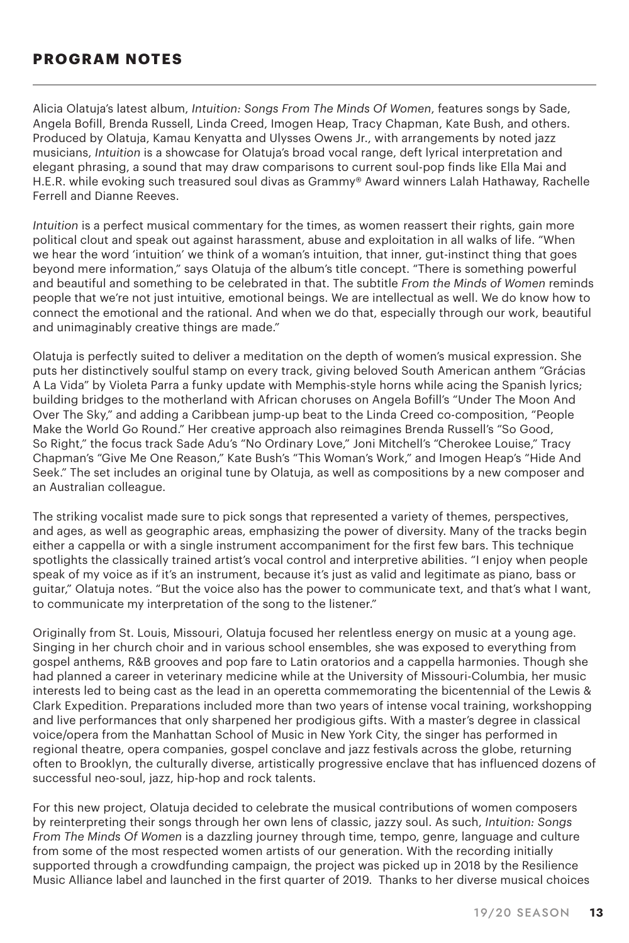### **PROGRAM NOTES**

Alicia Olatuja's latest album, *Intuition: Songs From The Minds Of Women*, features songs by Sade, Angela Bofill, Brenda Russell, Linda Creed, Imogen Heap, Tracy Chapman, Kate Bush, and others. Produced by Olatuja, Kamau Kenyatta and Ulysses Owens Jr., with arrangements by noted jazz musicians, *Intuition* is a showcase for Olatuja's broad vocal range, deft lyrical interpretation and elegant phrasing, a sound that may draw comparisons to current soul-pop finds like Ella Mai and H.E.R. while evoking such treasured soul divas as Grammy® Award winners Lalah Hathaway, Rachelle Ferrell and Dianne Reeves.

*Intuition* is a perfect musical commentary for the times, as women reassert their rights, gain more political clout and speak out against harassment, abuse and exploitation in all walks of life. "When we hear the word 'intuition' we think of a woman's intuition, that inner, gut-instinct thing that goes beyond mere information," says Olatuja of the album's title concept. "There is something powerful and beautiful and something to be celebrated in that. The subtitle *From the Minds of Women* reminds people that we're not just intuitive, emotional beings. We are intellectual as well. We do know how to connect the emotional and the rational. And when we do that, especially through our work, beautiful and unimaginably creative things are made."

Olatuja is perfectly suited to deliver a meditation on the depth of women's musical expression. She puts her distinctively soulful stamp on every track, giving beloved South American anthem "Grácias A La Vida" by Violeta Parra a funky update with Memphis-style horns while acing the Spanish lyrics; building bridges to the motherland with African choruses on Angela Bofill's "Under The Moon And Over The Sky," and adding a Caribbean jump-up beat to the Linda Creed co-composition, "People Make the World Go Round." Her creative approach also reimagines Brenda Russell's "So Good, So Right," the focus track Sade Adu's "No Ordinary Love," Joni Mitchell's "Cherokee Louise," Tracy Chapman's "Give Me One Reason," Kate Bush's "This Woman's Work," and Imogen Heap's "Hide And Seek." The set includes an original tune by Olatuja, as well as compositions by a new composer and an Australian colleague.

The striking vocalist made sure to pick songs that represented a variety of themes, perspectives, and ages, as well as geographic areas, emphasizing the power of diversity. Many of the tracks begin either a cappella or with a single instrument accompaniment for the first few bars. This technique spotlights the classically trained artist's vocal control and interpretive abilities. "I enjoy when people speak of my voice as if it's an instrument, because it's just as valid and legitimate as piano, bass or guitar," Olatuja notes. "But the voice also has the power to communicate text, and that's what I want, to communicate my interpretation of the song to the listener."

Originally from St. Louis, Missouri, Olatuja focused her relentless energy on music at a young age. Singing in her church choir and in various school ensembles, she was exposed to everything from gospel anthems, R&B grooves and pop fare to Latin oratorios and a cappella harmonies. Though she had planned a career in veterinary medicine while at the University of Missouri-Columbia, her music interests led to being cast as the lead in an operetta commemorating the bicentennial of the Lewis & Clark Expedition. Preparations included more than two years of intense vocal training, workshopping and live performances that only sharpened her prodigious gifts. With a master's degree in classical voice/opera from the Manhattan School of Music in New York City, the singer has performed in regional theatre, opera companies, gospel conclave and jazz festivals across the globe, returning often to Brooklyn, the culturally diverse, artistically progressive enclave that has influenced dozens of successful neo-soul, jazz, hip-hop and rock talents.

For this new project, Olatuja decided to celebrate the musical contributions of women composers by reinterpreting their songs through her own lens of classic, jazzy soul. As such, *Intuition: Songs From The Minds Of Women* is a dazzling journey through time, tempo, genre, language and culture from some of the most respected women artists of our generation. With the recording initially supported through a crowdfunding campaign, the project was picked up in 2018 by the Resilience Music Alliance label and launched in the first quarter of 2019. Thanks to her diverse musical choices